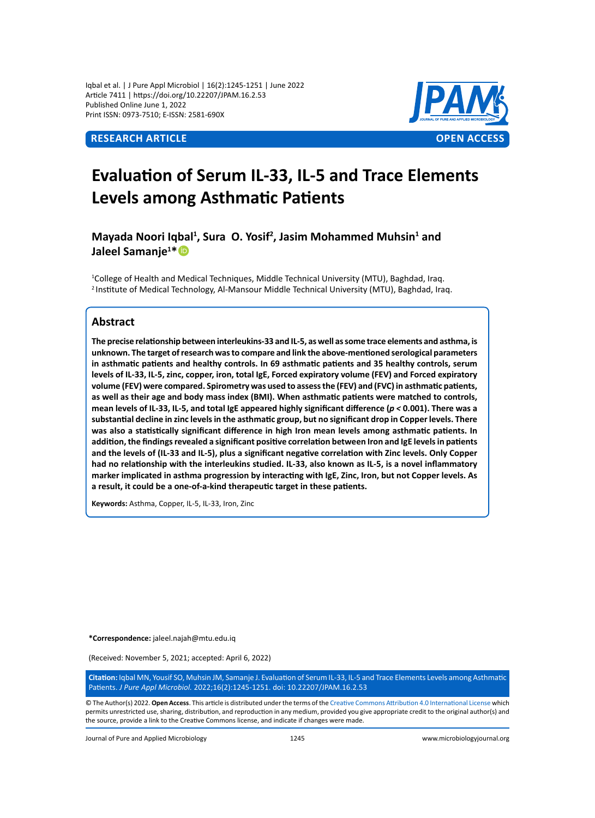Iqbal et al. | J Pure Appl Microbiol | 16(2):1245-1251 | June 2022 Article 7411 | https://doi.org/10.22207/JPAM.16.2.53 Published Online June 1, 2022 Print ISSN: 0973-7510; E-ISSN: 2581-690X



# **Evaluation of Serum IL-33, IL-5 and Trace Elements Levels among Asthmatic Patients**

Mayada Noori Iqbal<sup>1</sup>, Sura O. Yosif<sup>2</sup>, Jasim Mohammed Muhsin<sup>1</sup> and **Jaleel Samanje<sup>1</sup> \***

1 College of Health and Medical Techniques, Middle Technical University (MTU), Baghdad, Iraq. <sup>2</sup> Institute of Medical Technology, Al-Mansour Middle Technical University (MTU), Baghdad, Iraq.

## **Abstract**

**The precise relationship between interleukins-33 and IL-5, as well as some trace elements and asthma, is unknown. The target of research was to compare and link the above-mentioned serological parameters in asthmatic patients and healthy controls. In 69 asthmatic patients and 35 healthy controls, serum levels of IL-33, IL-5, zinc, copper, iron, total IgE, Forced expiratory volume (FEV) and Forced expiratory volume (FEV) were compared. Spirometry was used to assess the (FEV) and (FVC) in asthmatic patients, as well as their age and body mass index (BMI). When asthmatic patients were matched to controls, mean levels of IL-33, IL-5, and total IgE appeared highly significant difference (***p <* **0.001). There was a substantial decline in zinc levels in the asthmatic group, but no significant drop in Copper levels. There was also a statistically significant difference in high Iron mean levels among asthmatic patients. In addition, the findings revealed a significant positive correlation between Iron and IgE levels in patients and the levels of (IL-33 and IL-5), plus a significant negative correlation with Zinc levels. Only Copper had no relationship with the interleukins studied. IL-33, also known as IL-5, is a novel inflammatory marker implicated in asthma progression by interacting with IgE, Zinc, Iron, but not Copper levels. As a result, it could be a one-of-a-kind therapeutic target in these patients.** 

**Keywords:** Asthma, Copper, IL-5, IL-33, Iron, Zinc

**\*Correspondence:** jaleel.najah@mtu.edu.iq

(Received: November 5, 2021; accepted: April 6, 2022)

**Citation:** Iqbal MN, Yousif SO, Muhsin JM, Samanje J. Evaluation of Serum IL-33, IL-5 and Trace Elements Levels among Asthmatic Patients. *J Pure Appl Microbiol.* 2022;16(2):1245-1251. doi: 10.22207/JPAM.16.2.53

© The Author(s) 2022. **Open Access**. This article is distributed under the terms of the [Creative Commons Attribution 4.0 International License](https://creativecommons.org/licenses/by/4.0/) which permits unrestricted use, sharing, distribution, and reproduction in any medium, provided you give appropriate credit to the original author(s) and the source, provide a link to the Creative Commons license, and indicate if changes were made.

Journal of Pure and Applied Microbiology 1245 www.microbiologyjournal.org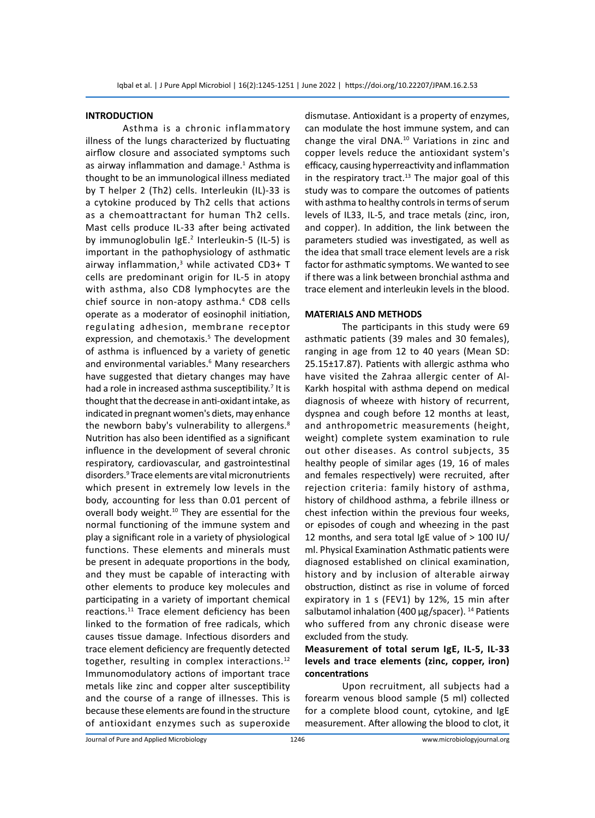#### **INTRODUCTION**

Asthma is a chronic inflammatory illness of the lungs characterized by fluctuating airflow closure and associated symptoms such as airway inflammation and damage.<sup>1</sup> Asthma is thought to be an immunological illness mediated by T helper 2 (Th2) cells. Interleukin (IL)-33 is a cytokine produced by Th2 cells that actions as a chemoattractant for human Th2 cells. Mast cells produce IL-33 after being activated by immunoglobulin IgE.<sup>2</sup> Interleukin-5 (IL-5) is important in the pathophysiology of asthmatic airway inflammation,<sup>3</sup> while activated CD3+ T cells are predominant origin for IL-5 in atopy with asthma, also CD8 lymphocytes are the chief source in non-atopy asthma.<sup>4</sup> CD8 cells operate as a moderator of eosinophil initiation, regulating adhesion, membrane receptor expression, and chemotaxis.<sup>5</sup> The development of asthma is influenced by a variety of genetic and environmental variables.<sup>6</sup> Many researchers have suggested that dietary changes may have had a role in increased asthma susceptibility.<sup>7</sup> It is thought that the decrease in anti-oxidant intake, as indicated in pregnant women's diets, may enhance the newborn baby's vulnerability to allergens.<sup>8</sup> Nutrition has also been identified as a significant influence in the development of several chronic respiratory, cardiovascular, and gastrointestinal disorders.9 Trace elements are vital micronutrients which present in extremely low levels in the body, accounting for less than 0.01 percent of overall body weight.<sup>10</sup> They are essential for the normal functioning of the immune system and play a significant role in a variety of physiological functions. These elements and minerals must be present in adequate proportions in the body, and they must be capable of interacting with other elements to produce key molecules and participating in a variety of important chemical reactions.<sup>11</sup> Trace element deficiency has been linked to the formation of free radicals, which causes tissue damage. Infectious disorders and trace element deficiency are frequently detected together, resulting in complex interactions.<sup>12</sup> Immunomodulatory actions of important trace metals like zinc and copper alter susceptibility and the course of a range of illnesses. This is because these elements are found in the structure of antioxidant enzymes such as superoxide

dismutase. Antioxidant is a property of enzymes, can modulate the host immune system, and can change the viral DNA.<sup>10</sup> Variations in zinc and copper levels reduce the antioxidant system's efficacy, causing hyperreactivity and inflammation in the respiratory tract. $13$  The major goal of this study was to compare the outcomes of patients with asthma to healthy controls in terms of serum levels of IL33, IL-5, and trace metals (zinc, iron, and copper). In addition, the link between the parameters studied was investigated, as well as the idea that small trace element levels are a risk factor for asthmatic symptoms. We wanted to see if there was a link between bronchial asthma and trace element and interleukin levels in the blood.

#### **MATERIALS AND METHODS**

The participants in this study were 69 asthmatic patients (39 males and 30 females), ranging in age from 12 to 40 years (Mean SD: 25.15±17.87). Patients with allergic asthma who have visited the Zahraa allergic center of Al-Karkh hospital with asthma depend on medical diagnosis of wheeze with history of recurrent, dyspnea and cough before 12 months at least, and anthropometric measurements (height, weight) complete system examination to rule out other diseases. As control subjects, 35 healthy people of similar ages (19, 16 of males and females respectively) were recruited, after rejection criteria: family history of asthma, history of childhood asthma, a febrile illness or chest infection within the previous four weeks, or episodes of cough and wheezing in the past 12 months, and sera total IgE value of > 100 IU/ ml. Physical Examination Asthmatic patients were diagnosed established on clinical examination, history and by inclusion of alterable airway obstruction, distinct as rise in volume of forced expiratory in 1 s (FEV1) by 12%, 15 min after salbutamol inhalation (400  $\mu$ g/spacer). <sup>14</sup> Patients who suffered from any chronic disease were excluded from the study.

## **Measurement of total serum IgE, IL-5, IL-33 levels and trace elements (zinc, copper, iron) concentrations**

Upon recruitment, all subjects had a forearm venous blood sample (5 ml) collected for a complete blood count, cytokine, and IgE measurement. After allowing the blood to clot, it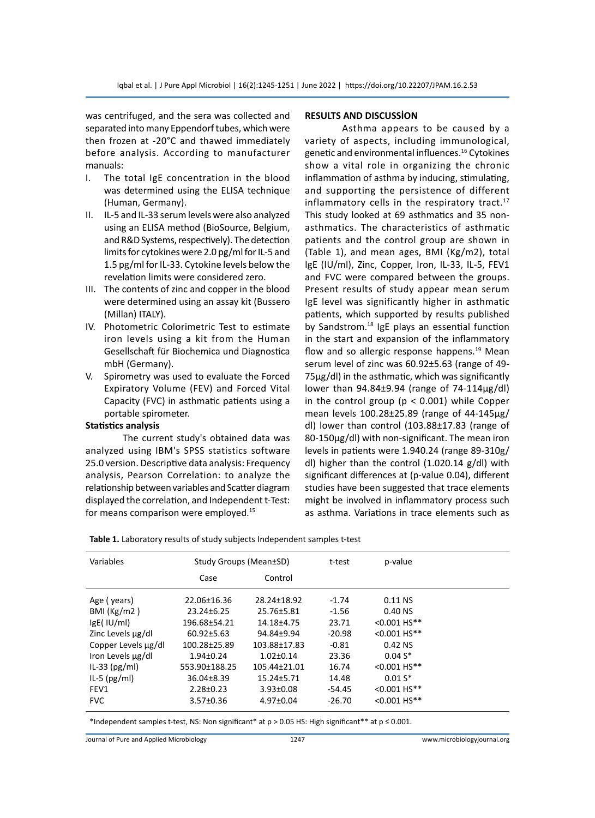was centrifuged, and the sera was collected and separated into many Eppendorf tubes, which were then frozen at -20°C and thawed immediately before analysis. According to manufacturer manuals:

- I. The total IgE concentration in the blood was determined using the ELISA technique (Human, Germany).
- II. IL-5 and IL-33 serum levels were also analyzed using an ELISA method (BioSource, Belgium, and R&D Systems, respectively). The detection limits for cytokines were 2.0 pg/ml for IL-5 and 1.5 pg/ml for IL-33. Cytokine levels below the revelation limits were considered zero.
- III. The contents of zinc and copper in the blood were determined using an assay kit (Bussero (Millan) ITALY).
- IV. Photometric Colorimetric Test to estimate iron levels using a kit from the Human Gesellschaft für Biochemica und Diagnostica mbH (Germany).
- V. Spirometry was used to evaluate the Forced Expiratory Volume (FEV) and Forced Vital Capacity (FVC) in asthmatic patients using a portable spirometer.

### **Statistics analysis**

The current study's obtained data was analyzed using IBM's SPSS statistics software 25.0 version. Descriptive data analysis: Frequency analysis, Pearson Correlation: to analyze the relationship between variables and Scatter diagram displayed the correlation, and Independent t-Test: for means comparison were employed.<sup>15</sup>

#### **RESULTS AND DISCUSSİON**

Asthma appears to be caused by a variety of aspects, including immunological, genetic and environmental influences.<sup>16</sup> Cytokines show a vital role in organizing the chronic inflammation of asthma by inducing, stimulating, and supporting the persistence of different inflammatory cells in the respiratory tract.<sup>17</sup> This study looked at 69 asthmatics and 35 nonasthmatics. The characteristics of asthmatic patients and the control group are shown in (Table 1), and mean ages, BMI (Kg/m2), total IgE (IU/ml), Zinc, Copper, Iron, IL-33, IL-5, FEV1 and FVC were compared between the groups. Present results of study appear mean serum IgE level was significantly higher in asthmatic patients, which supported by results published by Sandstrom. $18$  IgE plays an essential function in the start and expansion of the inflammatory flow and so allergic response happens. $19$  Mean serum level of zinc was 60.92±5.63 (range of 49- 75μg/dl) in the asthmatic, which was significantly lower than 94.84±9.94 (range of 74-114μg/dl) in the control group ( $p < 0.001$ ) while Copper mean levels 100.28±25.89 (range of 44-145μg/ dl) lower than control (103.88±17.83 (range of 80-150μg/dl) with non-significant. The mean iron levels in patients were 1.940.24 (range 89-310g/ dl) higher than the control (1.020.14 g/dl) with significant differences at (p-value 0.04), different studies have been suggested that trace elements might be involved in inflammatory process such as asthma. Variations in trace elements such as

|  |  |  | Table 1. Laboratory results of study subjects Independent samples t-test |
|--|--|--|--------------------------------------------------------------------------|
|--|--|--|--------------------------------------------------------------------------|

| Variables           | Study Groups (Mean±SD) |                 | t-test   | p-value        |  |
|---------------------|------------------------|-----------------|----------|----------------|--|
|                     | Case                   | Control         |          |                |  |
| Age (years)         | 22.06±16.36            | 28.24±18.92     | $-1.74$  | $0.11$ NS      |  |
| BMI $(Kg/m2)$       | 23.24±6.25             | 25.76±5.81      | $-1.56$  | 0.40 NS        |  |
| $lgE($ IU/ml)       | 196.68±54.21           | 14.18±4.75      | 23.71    | $< 0.001 HS**$ |  |
| Zinc Levels µg/dl   | $60.92 \pm 5.63$       | 94.84±9.94      | $-20.98$ | $< 0.001$ HS** |  |
| Copper Levels µg/dl | 100.28±25.89           | 103.88±17.83    | $-0.81$  | 0.42 NS        |  |
| Iron Levels µg/dl   | $1.94 \pm 0.24$        | $1.02 \pm 0.14$ | 23.36    | $0.04S*$       |  |
| IL-33 $(pg/ml)$     | 553.90±188.25          | 105.44±21.01    | 16.74    | $< 0.001$ HS** |  |
| IL-5 $(pg/ml)$      | 36.04±8.39             | 15.24±5.71      | 14.48    | $0.01 S*$      |  |
| FEV1                | $2.28 \pm 0.23$        | $3.93 \pm 0.08$ | $-54.45$ | $< 0.001 HS**$ |  |
| <b>FVC</b>          | $3.57 \pm 0.36$        | $4.97 \pm 0.04$ | $-26.70$ | $< 0.001$ HS** |  |

\*Independent samples t-test, NS: Non significant\* at p > 0.05 HS: High significant\*\* at p ≤ 0.001.

Journal of Pure and Applied Microbiology 1247 www.microbiologyjournal.org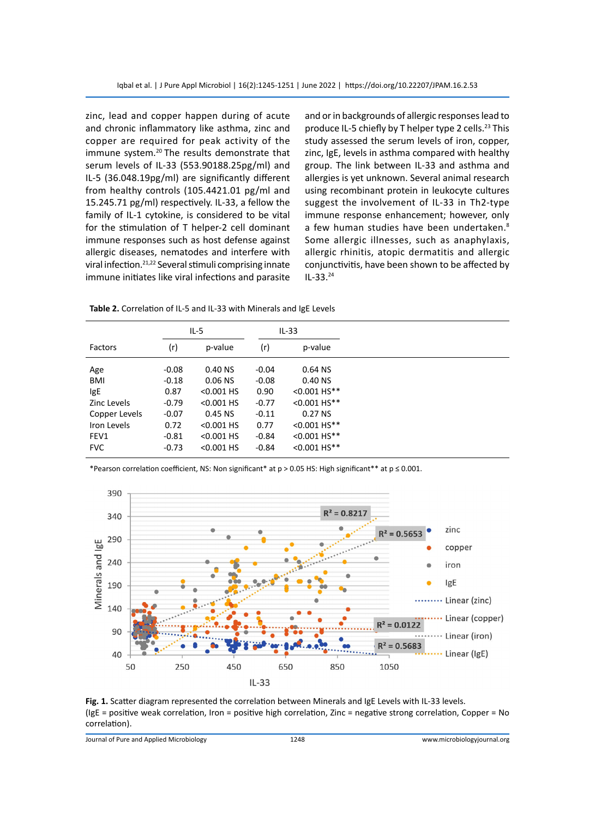zinc, lead and copper happen during of acute and chronic inflammatory like asthma, zinc and copper are required for peak activity of the immune system.<sup>20</sup> The results demonstrate that serum levels of IL-33 (553.90188.25pg/ml) and IL-5 (36.048.19pg/ml) are significantly different from healthy controls (105.4421.01 pg/ml and 15.245.71 pg/ml) respectively. IL-33, a fellow the family of IL-1 cytokine, is considered to be vital for the stimulation of T helper-2 cell dominant immune responses such as host defense against allergic diseases, nematodes and interfere with viral infection.21,22 Several stimuli comprising innate immune initiates like viral infections and parasite and or in backgrounds of allergic responses lead to produce IL-5 chiefly by T helper type 2 cells.<sup>23</sup> This study assessed the serum levels of iron, copper, zinc, IgE, levels in asthma compared with healthy group. The link between IL-33 and asthma and allergies is yet unknown. Several animal research using recombinant protein in leukocyte cultures suggest the involvement of IL-33 in Th2-type immune response enhancement; however, only a few human studies have been undertaken.<sup>8</sup> Some allergic illnesses, such as anaphylaxis, allergic rhinitis, atopic dermatitis and allergic conjunctivitis, have been shown to be affected by IL-33.<sup>24</sup>

**Table 2.** Correlation of IL-5 and IL-33 with Minerals and IgE Levels

|                | $IL-5$  |              |         | $IL-33$        |  |
|----------------|---------|--------------|---------|----------------|--|
| <b>Factors</b> | (r)     | p-value      | (r)     | p-value        |  |
| Age            | $-0.08$ | $0.40$ NS    | $-0.04$ | 0.64 NS        |  |
| <b>BMI</b>     | $-0.18$ | 0.06 NS      | $-0.08$ | 0.40 NS        |  |
| IgE            | 0.87    | $< 0.001$ HS | 0.90    | $< 0.001 HS**$ |  |
| Zinc Levels    | $-0.79$ | $< 0.001$ HS | $-0.77$ | $< 0.001 HS**$ |  |
| Copper Levels  | $-0.07$ | $0.45$ NS    | $-0.11$ | 0.27 NS        |  |
| Iron Levels    | 0.72    | $< 0.001$ HS | 0.77    | $< 0.001 HS**$ |  |
| FEV1           | $-0.81$ | $< 0.001$ HS | $-0.84$ | $< 0.001 HS**$ |  |
| <b>FVC</b>     | $-0.73$ | $< 0.001$ HS | $-0.84$ | $< 0.001 HS**$ |  |

\*Pearson correlation coefficient, NS: Non significant\* at p > 0.05 HS: High significant\*\* at p ≤ 0.001.



**Fig. 1.** Scatter diagram represented the correlation between Minerals and IgE Levels with IL-33 levels. (IgE = positive weak correlation, Iron = positive high correlation, Zinc = negative strong correlation, Copper = No correlation).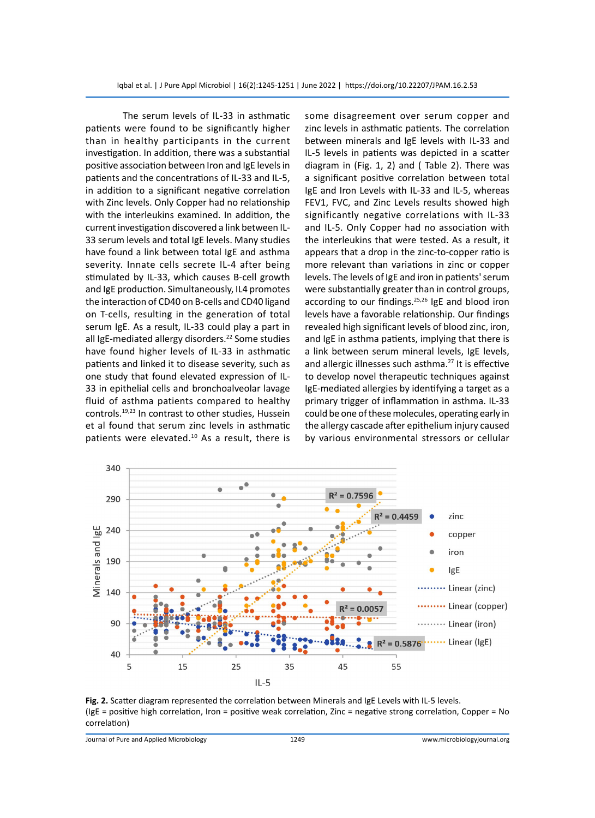The serum levels of IL-33 in asthmatic patients were found to be significantly higher than in healthy participants in the current investigation. In addition, there was a substantial positive association between Iron and IgE levels in patients and the concentrations of IL-33 and IL-5, in addition to a significant negative correlation with Zinc levels. Only Copper had no relationship with the interleukins examined. In addition, the current investigation discovered a link between IL-33 serum levels and total IgE levels. Many studies have found a link between total IgE and asthma severity. Innate cells secrete IL-4 after being stimulated by IL-33, which causes B-cell growth and IgE production. Simultaneously, IL4 promotes the interaction of CD40 on B-cells and CD40 ligand on T-cells, resulting in the generation of total serum IgE. As a result, IL-33 could play a part in all IgE-mediated allergy disorders.<sup>22</sup> Some studies have found higher levels of IL-33 in asthmatic patients and linked it to disease severity, such as one study that found elevated expression of IL-33 in epithelial cells and bronchoalveolar lavage fluid of asthma patients compared to healthy controls.19,23 In contrast to other studies, Hussein et al found that serum zinc levels in asthmatic patients were elevated.<sup>10</sup> As a result, there is some disagreement over serum copper and zinc levels in asthmatic patients. The correlation between minerals and IgE levels with IL-33 and IL-5 levels in patients was depicted in a scatter diagram in (Fig. 1, 2) and ( Table 2). There was a significant positive correlation between total IgE and Iron Levels with IL-33 and IL-5, whereas FEV1, FVC, and Zinc Levels results showed high significantly negative correlations with IL-33 and IL-5. Only Copper had no association with the interleukins that were tested. As a result, it appears that a drop in the zinc-to-copper ratio is more relevant than variations in zinc or copper levels. The levels of IgE and iron in patients' serum were substantially greater than in control groups, according to our findings.25,26 IgE and blood iron levels have a favorable relationship. Our findings revealed high significant levels of blood zinc, iron, and IgE in asthma patients, implying that there is a link between serum mineral levels, IgE levels, and allergic illnesses such asthma.<sup>27</sup> It is effective to develop novel therapeutic techniques against IgE-mediated allergies by identifying a target as a primary trigger of inflammation in asthma. IL-33 could be one of these molecules, operating early in the allergy cascade after epithelium injury caused by various environmental stressors or cellular



**Fig. 2.** Scatter diagram represented the correlation between Minerals and IgE Levels with IL-5 levels. (IgE = positive high correlation, Iron = positive weak correlation, Zinc = negative strong correlation, Copper = No correlation)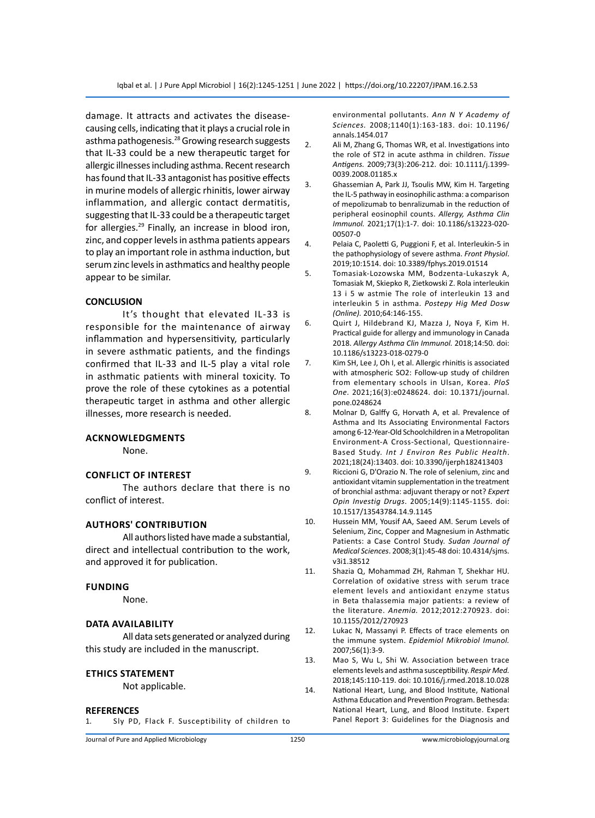damage. It attracts and activates the diseasecausing cells, indicating that it plays a crucial role in asthma pathogenesis.<sup>28</sup> Growing research suggests that IL-33 could be a new therapeutic target for allergic illnesses including asthma. Recent research has found that IL-33 antagonist has positive effects in murine models of allergic rhinitis, lower airway inflammation, and allergic contact dermatitis, suggesting that IL-33 could be a therapeutic target for allergies.<sup>29</sup> Finally, an increase in blood iron, zinc, and copper levels in asthma patients appears to play an important role in asthma induction, but serum zinc levels in asthmatics and healthy people appear to be similar.

#### **CONCLUSION**

It's thought that elevated IL-33 is responsible for the maintenance of airway inflammation and hypersensitivity, particularly in severe asthmatic patients, and the findings confirmed that IL-33 and IL-5 play a vital role in asthmatic patients with mineral toxicity. To prove the role of these cytokines as a potential therapeutic target in asthma and other allergic illnesses, more research is needed.

#### **Acknowledgments**

None.

#### **Conflict of interest**

The authors declare that there is no conflict of interest.

## **AuthorS' Contribution**

All authors listed have made a substantial, direct and intellectual contribution to the work, and approved it for publication.

#### **Funding**

None.

#### **Data availability**

All data sets generated or analyzed during this study are included in the manuscript.

#### **Ethics Statement**

Not applicable.

#### **REFERENCES**

1. Sly PD, Flack F. Susceptibility of children to

Journal of Pure and Applied Microbiology 1250 www.microbiologyjournal.org

environmental pollutants. *Ann N Y Academy of Sciences.* 2008;1140(1):163-183. doi: 10.1196/ annals.1454.017

- 2. Ali M, Zhang G, Thomas WR, et al. Investigations into the role of ST2 in acute asthma in children. *Tissue Antigens.* 2009;73(3):206-212. doi: 10.1111/j.1399- 0039.2008.01185.x
- 3. Ghassemian A, Park JJ, Tsoulis MW, Kim H. Targeting the IL-5 pathway in eosinophilic asthma: a comparison of mepolizumab to benralizumab in the reduction of peripheral eosinophil counts. *Allergy, Asthma Clin Immunol.* 2021;17(1):1-7. doi: 10.1186/s13223-020- 00507-0
- 4. Pelaia C, Paoletti G, Puggioni F, et al. Interleukin-5 in the pathophysiology of severe asthma. *Front Physiol*. 2019;10:1514. doi: 10.3389/fphys.2019.01514
- 5. Tomasiak-Lozowska MM, Bodzenta-Lukaszyk A, Tomasiak M, Skiepko R, Zietkowski Z. Rola interleukin 13 i 5 w astmie The role of interleukin 13 and interleukin 5 in asthma. *Postepy Hig Med Dosw (Online).* 2010;64:146-155.
- 6. Quirt J, Hildebrand KJ, Mazza J, Noya F, Kim H. Practical guide for allergy and immunology in Canada 2018. *Allergy Asthma Clin Immunol.* 2018;14:50. doi: 10.1186/s13223-018-0279-0
- 7. Kim SH, Lee J, Oh I, et al. Allergic rhinitis is associated with atmospheric SO2: Follow-up study of children from elementary schools in Ulsan, Korea. *PloS One*. 2021;16(3):e0248624. doi: 10.1371/journal. pone.0248624
- 8. Molnar D, Galffy G, Horvath A, et al. Prevalence of Asthma and Its Associating Environmental Factors among 6-12-Year-Old Schoolchildren in a Metropolitan Environment-A Cross-Sectional, Questionnaire-Based Study. *Int J Environ Res Public Health*. 2021;18(24):13403. doi: 10.3390/ijerph182413403
- 9. Riccioni G, D'Orazio N. The role of selenium, zinc and antioxidant vitamin supplementation in the treatment of bronchial asthma: adjuvant therapy or not? *Expert Opin Investig Drugs*. 2005;14(9):1145-1155. doi: 10.1517/13543784.14.9.1145
- 10. Hussein MM, Yousif AA, Saeed AM. Serum Levels of Selenium, Zinc, Copper and Magnesium in Asthmatic Patients: a Case Control Study. *Sudan Journal of Medical Sciences*. 2008;3(1):45-48 doi: 10.4314/sjms. v3i1.38512
- 11. Shazia Q, Mohammad ZH, Rahman T, Shekhar HU. Correlation of oxidative stress with serum trace element levels and antioxidant enzyme status in Beta thalassemia major patients: a review of the literature. *Anemia.* 2012;2012:270923. doi: 10.1155/2012/270923
- 12. Lukac N, Massanyi P. Effects of trace elements on the immune system. *Epidemiol Mikrobiol Imunol.* 2007;56(1):3-9.

13. Mao S, Wu L, Shi W. Association between trace elements levels and asthma susceptibility. *Respir Med.* 2018;145:110-119. doi: 10.1016/j.rmed.2018.10.028

14. National Heart, Lung, and Blood Institute, National Asthma Education and Prevention Program. Bethesda: National Heart, Lung, and Blood Institute. Expert Panel Report 3: Guidelines for the Diagnosis and